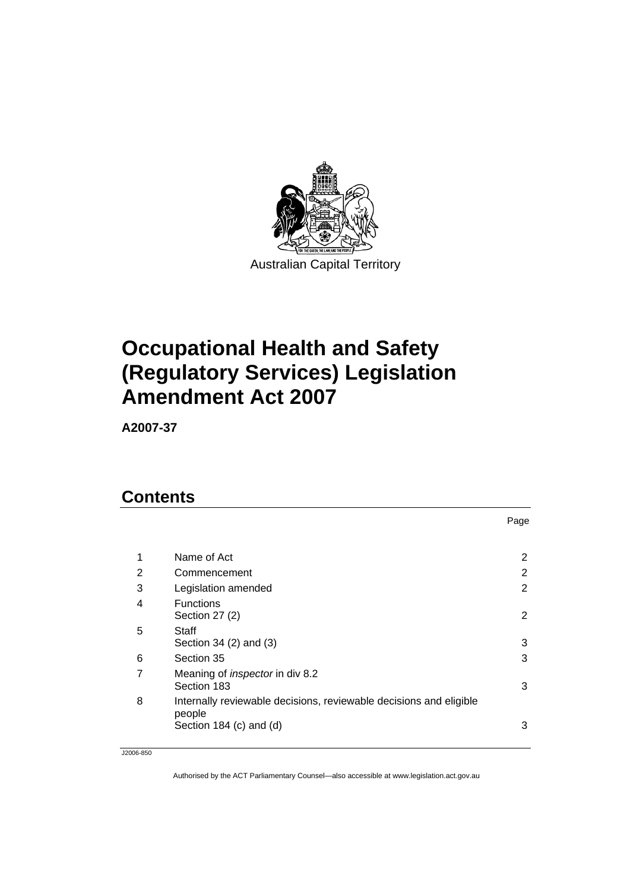

# **[Occupational Health and Safety](#page-2-0)  [\(Regulatory Services\) Legislation](#page-2-0)  [Amendment Act 2007](#page-2-0)**

**A2007-37** 

# **Contents**

| 1 | Name of Act                                                                                             | 2              |
|---|---------------------------------------------------------------------------------------------------------|----------------|
| 2 | Commencement                                                                                            | 2              |
| 3 | Legislation amended                                                                                     | $\overline{2}$ |
| 4 | <b>Functions</b><br>Section 27 (2)                                                                      | 2              |
| 5 | Staff<br>Section 34 (2) and (3)                                                                         | 3              |
| 6 | Section 35                                                                                              | 3              |
| 7 | Meaning of <i>inspector</i> in div 8.2<br>Section 183                                                   | 3              |
| 8 | Internally reviewable decisions, reviewable decisions and eligible<br>people<br>Section 184 (c) and (d) | 3              |
|   |                                                                                                         |                |

Page

J2006-850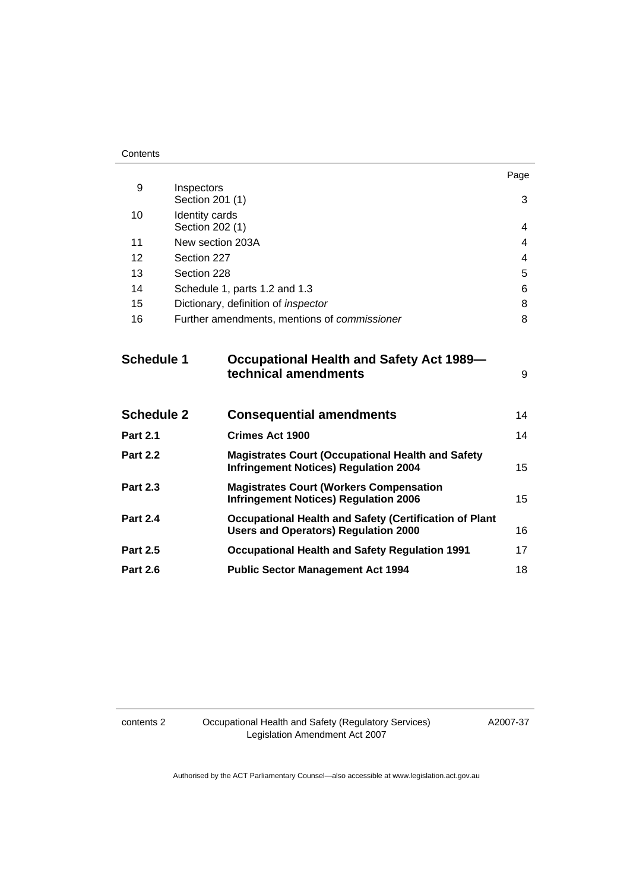|                   |                                   |                                                                                                              | Page |
|-------------------|-----------------------------------|--------------------------------------------------------------------------------------------------------------|------|
| 9                 | Inspectors                        |                                                                                                              |      |
|                   | Section 201 (1)                   |                                                                                                              | 3    |
| 10                | Identity cards<br>Section 202 (1) |                                                                                                              | 4    |
| 11                | New section 203A                  |                                                                                                              | 4    |
| 12                | Section 227                       |                                                                                                              | 4    |
| 13                | Section 228                       |                                                                                                              | 5    |
| 14                |                                   | Schedule 1, parts 1.2 and 1.3                                                                                | 6    |
| 15                |                                   | Dictionary, definition of <i>inspector</i>                                                                   | 8    |
| 16                |                                   | Further amendments, mentions of <i>commissioner</i>                                                          | 8    |
|                   |                                   |                                                                                                              |      |
| <b>Schedule 1</b> |                                   | <b>Occupational Health and Safety Act 1989-</b><br>technical amendments                                      | 9    |
|                   |                                   |                                                                                                              |      |
| <b>Schedule 2</b> |                                   | <b>Consequential amendments</b>                                                                              | 14   |
| <b>Part 2.1</b>   |                                   | <b>Crimes Act 1900</b>                                                                                       | 14   |
| <b>Part 2.2</b>   |                                   | <b>Magistrates Court (Occupational Health and Safety</b><br><b>Infringement Notices) Regulation 2004</b>     | 15   |
| <b>Part 2.3</b>   |                                   | <b>Magistrates Court (Workers Compensation</b><br><b>Infringement Notices) Regulation 2006</b>               | 15   |
| <b>Part 2.4</b>   |                                   | <b>Occupational Health and Safety (Certification of Plant</b><br><b>Users and Operators) Regulation 2000</b> | 16   |
| <b>Part 2.5</b>   |                                   | <b>Occupational Health and Safety Regulation 1991</b>                                                        | 17   |
| <b>Part 2.6</b>   |                                   | <b>Public Sector Management Act 1994</b>                                                                     | 18   |

contents 2 Occupational Health and Safety (Regulatory Services) Legislation Amendment Act 2007

A2007-37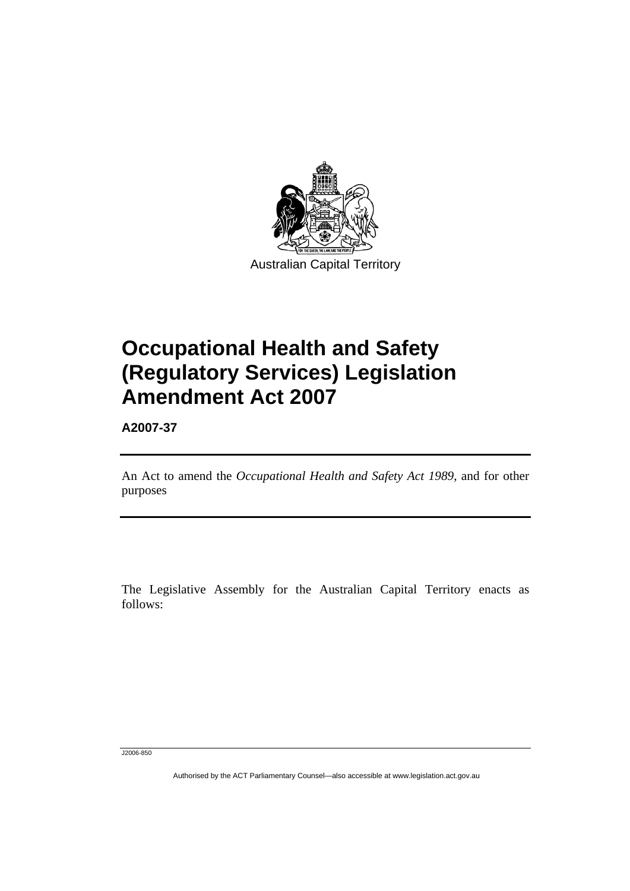<span id="page-2-0"></span>

# **Occupational Health and Safety (Regulatory Services) Legislation Amendment Act 2007**

**A2007-37** 

Ī

An Act to amend the *Occupational Health and Safety Act 1989*, and for other purposes

The Legislative Assembly for the Australian Capital Territory enacts as follows:

J2006-850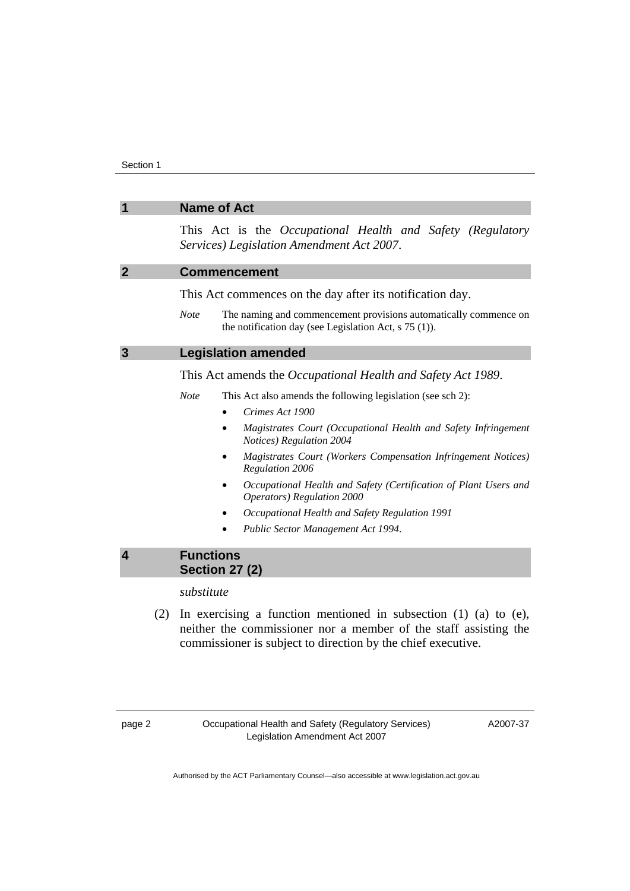<span id="page-3-0"></span>

| <b>Name of Act</b><br>1 |                                                                                                                                                                                                             |  |  |  |  |
|-------------------------|-------------------------------------------------------------------------------------------------------------------------------------------------------------------------------------------------------------|--|--|--|--|
|                         | This Act is the Occupational Health and Safety (Regulatory<br>Services) Legislation Amendment Act 2007.                                                                                                     |  |  |  |  |
| $\overline{2}$          | <b>Commencement</b>                                                                                                                                                                                         |  |  |  |  |
|                         | This Act commences on the day after its notification day.                                                                                                                                                   |  |  |  |  |
|                         | The naming and commencement provisions automatically commence on<br><b>Note</b><br>the notification day (see Legislation Act, $s$ 75 (1)).                                                                  |  |  |  |  |
| $\mathbf{3}$            | <b>Legislation amended</b>                                                                                                                                                                                  |  |  |  |  |
|                         | This Act amends the Occupational Health and Safety Act 1989.                                                                                                                                                |  |  |  |  |
|                         | <b>Note</b><br>This Act also amends the following legislation (see sch 2):                                                                                                                                  |  |  |  |  |
|                         | Crimes Act 1900                                                                                                                                                                                             |  |  |  |  |
|                         | Magistrates Court (Occupational Health and Safety Infringement<br>Notices) Regulation 2004                                                                                                                  |  |  |  |  |
|                         | Magistrates Court (Workers Compensation Infringement Notices)<br>Regulation 2006                                                                                                                            |  |  |  |  |
|                         | Occupational Health and Safety (Certification of Plant Users and<br>Operators) Regulation 2000                                                                                                              |  |  |  |  |
|                         | Occupational Health and Safety Regulation 1991                                                                                                                                                              |  |  |  |  |
|                         | Public Sector Management Act 1994.                                                                                                                                                                          |  |  |  |  |
| $\overline{\mathbf{4}}$ | <b>Functions</b><br><b>Section 27 (2)</b>                                                                                                                                                                   |  |  |  |  |
|                         | substitute                                                                                                                                                                                                  |  |  |  |  |
| (2)                     | In exercising a function mentioned in subsection $(1)$ $(a)$ to $(e)$ ,<br>neither the commissioner nor a member of the staff assisting the<br>commissioner is subject to direction by the chief executive. |  |  |  |  |

A2007-37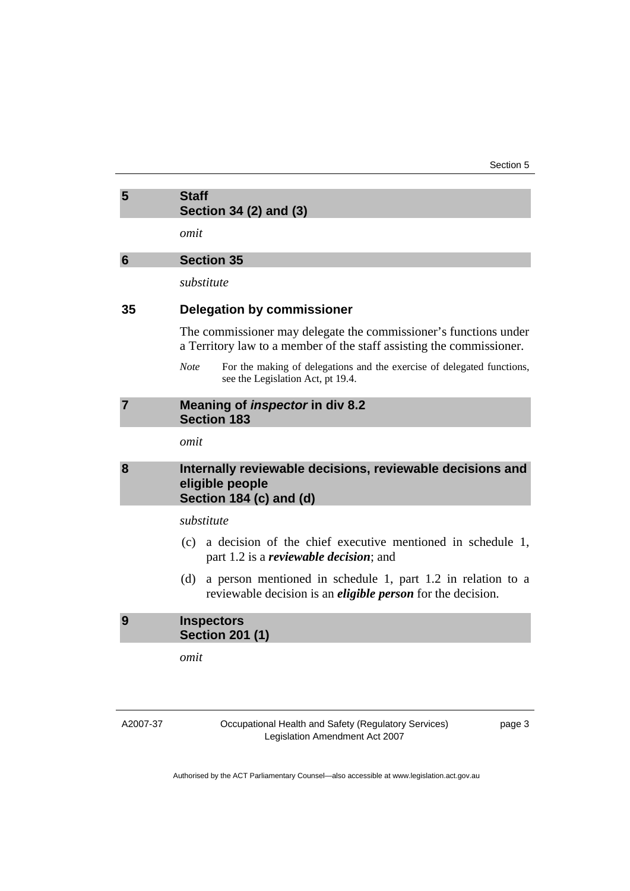<span id="page-4-0"></span>

| 5 | <b>Staff</b>           |
|---|------------------------|
|   | Section 34 (2) and (3) |

*omit* 

## **6 Section 35**

*substitute* 

## **35 Delegation by commissioner**

The commissioner may delegate the commissioner's functions under a Territory law to a member of the staff assisting the commissioner.

*Note* For the making of delegations and the exercise of delegated functions, see the Legislation Act, pt 19.4.

#### **7 Meaning of** *inspector* **in div 8.2 Section 183**

*omit* 

# **8 Internally reviewable decisions, reviewable decisions and eligible people Section 184 (c) and (d)**

# *substitute*

- (c) a decision of the chief executive mentioned in schedule 1, part 1.2 is a *reviewable decision*; and
- (d) a person mentioned in schedule 1, part 1.2 in relation to a reviewable decision is an *eligible person* for the decision.

## **9 Inspectors Section 201 (1)**

*omit* 

A2007-37

Occupational Health and Safety (Regulatory Services) Legislation Amendment Act 2007

page 3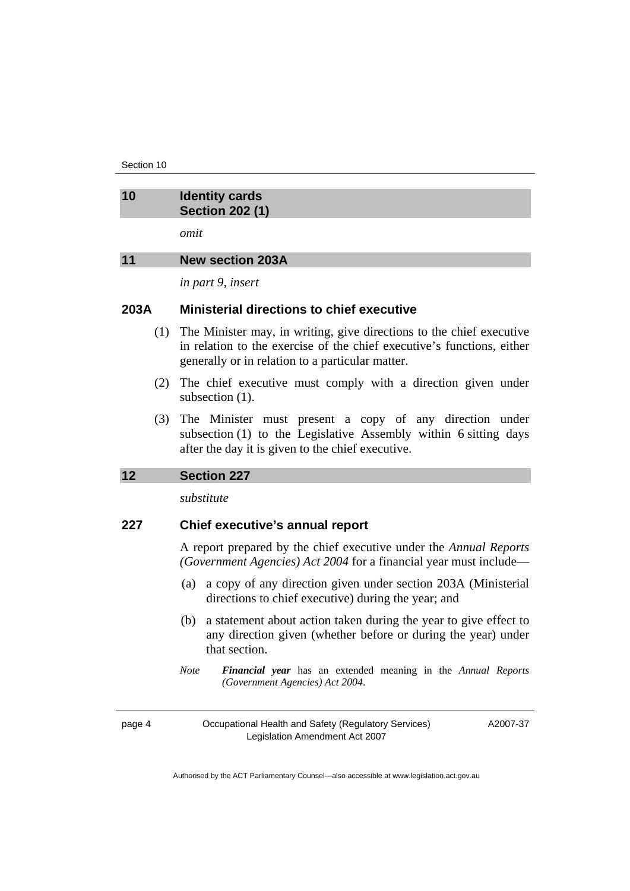<span id="page-5-0"></span>Section 10

| 10 | <b>Identity cards</b><br><b>Section 202 (1)</b> |
|----|-------------------------------------------------|
|    | omit                                            |
| 11 | <b>New section 203A</b>                         |

*in part 9, insert* 

## **203A Ministerial directions to chief executive**

- (1) The Minister may, in writing, give directions to the chief executive in relation to the exercise of the chief executive's functions, either generally or in relation to a particular matter.
- (2) The chief executive must comply with a direction given under subsection  $(1)$ .
- (3) The Minister must present a copy of any direction under subsection (1) to the Legislative Assembly within 6 sitting days after the day it is given to the chief executive.

#### **12 Section 227**

*substitute* 

# **227 Chief executive's annual report**

A report prepared by the chief executive under the *Annual Reports (Government Agencies) Act 2004* for a financial year must include—

- (a) a copy of any direction given under section 203A (Ministerial directions to chief executive) during the year; and
- (b) a statement about action taken during the year to give effect to any direction given (whether before or during the year) under that section.
- *Note Financial year* has an extended meaning in the *Annual Reports (Government Agencies) Act 2004*.

page 4 Occupational Health and Safety (Regulatory Services) Legislation Amendment Act 2007

A2007-37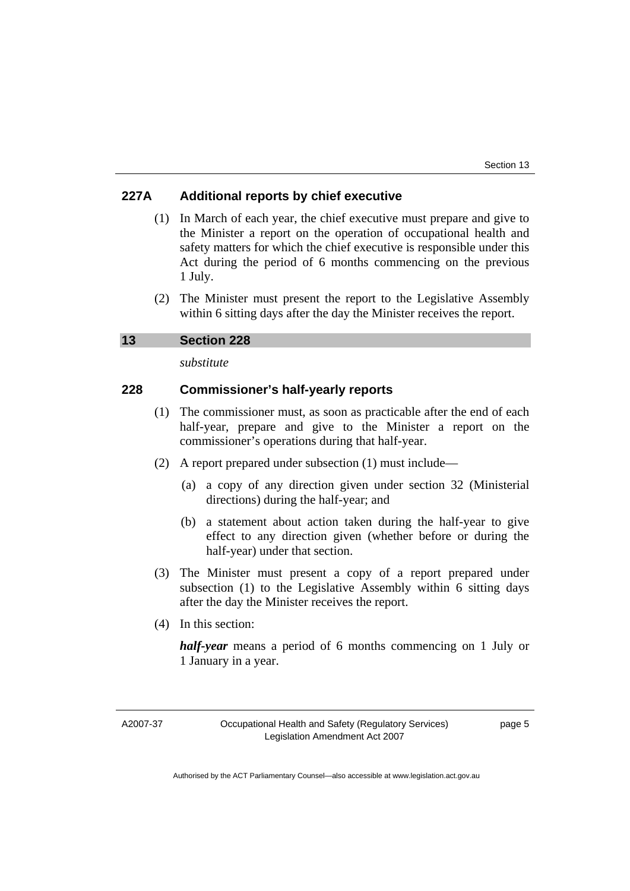# <span id="page-6-0"></span>**227A Additional reports by chief executive**

- (1) In March of each year, the chief executive must prepare and give to the Minister a report on the operation of occupational health and safety matters for which the chief executive is responsible under this Act during the period of 6 months commencing on the previous 1 July.
- (2) The Minister must present the report to the Legislative Assembly within 6 sitting days after the day the Minister receives the report.

**13 Section 228** 

*substitute* 

# **228 Commissioner's half-yearly reports**

- (1) The commissioner must, as soon as practicable after the end of each half-year, prepare and give to the Minister a report on the commissioner's operations during that half-year.
- (2) A report prepared under subsection (1) must include—
	- (a) a copy of any direction given under section 32 (Ministerial directions) during the half-year; and
	- (b) a statement about action taken during the half-year to give effect to any direction given (whether before or during the half-year) under that section.
- (3) The Minister must present a copy of a report prepared under subsection (1) to the Legislative Assembly within 6 sitting days after the day the Minister receives the report.
- (4) In this section:

*half-year* means a period of 6 months commencing on 1 July or 1 January in a year.

page 5

A2007-37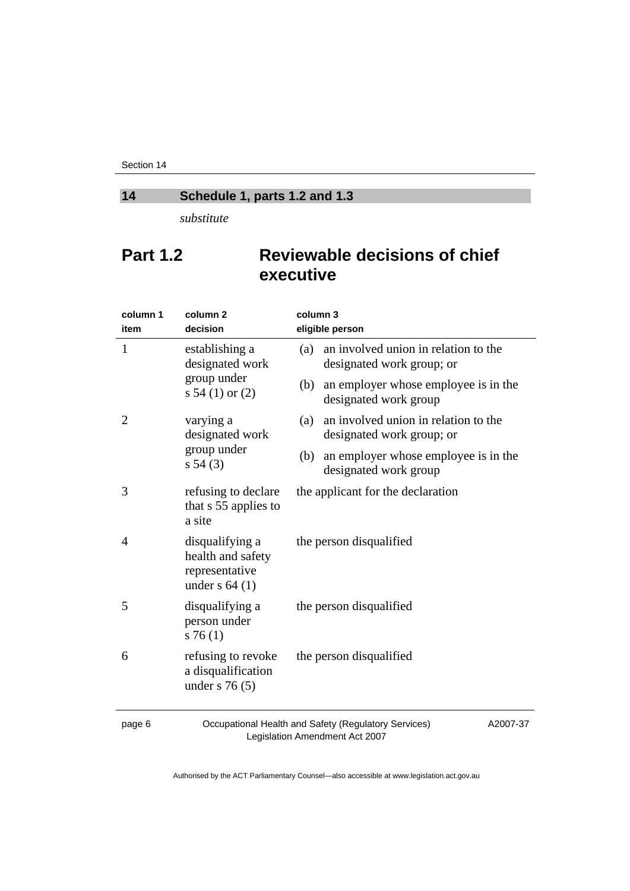<span id="page-7-0"></span>Section 14

# **14 Schedule 1, parts 1.2 and 1.3**

*substitute* 

# **Part 1.2 Reviewable decisions of chief executive**

| column 1<br>item | column <sub>2</sub><br>decision                                            | column 3<br>eligible person                                              |  |  |
|------------------|----------------------------------------------------------------------------|--------------------------------------------------------------------------|--|--|
| $\mathbf{1}$     | establishing a<br>designated work                                          | an involved union in relation to the<br>(a)<br>designated work group; or |  |  |
|                  | group under<br>s 54 (1) or $(2)$                                           | an employer whose employee is in the<br>(b)<br>designated work group     |  |  |
| 2                | varying a<br>designated work                                               | an involved union in relation to the<br>(a)<br>designated work group; or |  |  |
|                  | group under<br>s 54(3)                                                     | an employer whose employee is in the<br>(b)<br>designated work group     |  |  |
| 3                | refusing to declare<br>that s 55 applies to<br>a site                      | the applicant for the declaration                                        |  |  |
| 4                | disqualifying a<br>health and safety<br>representative<br>under $s$ 64 (1) | the person disqualified                                                  |  |  |
| 5                | disqualifying a<br>person under<br>s76(1)                                  | the person disqualified                                                  |  |  |
| 6                | refusing to revoke<br>a disqualification<br>under s $76(5)$                | the person disqualified                                                  |  |  |
|                  |                                                                            | $\sim$ $\sim$ $\sim$                                                     |  |  |

page 6 Occupational Health and Safety (Regulatory Services) Legislation Amendment Act 2007

A2007-37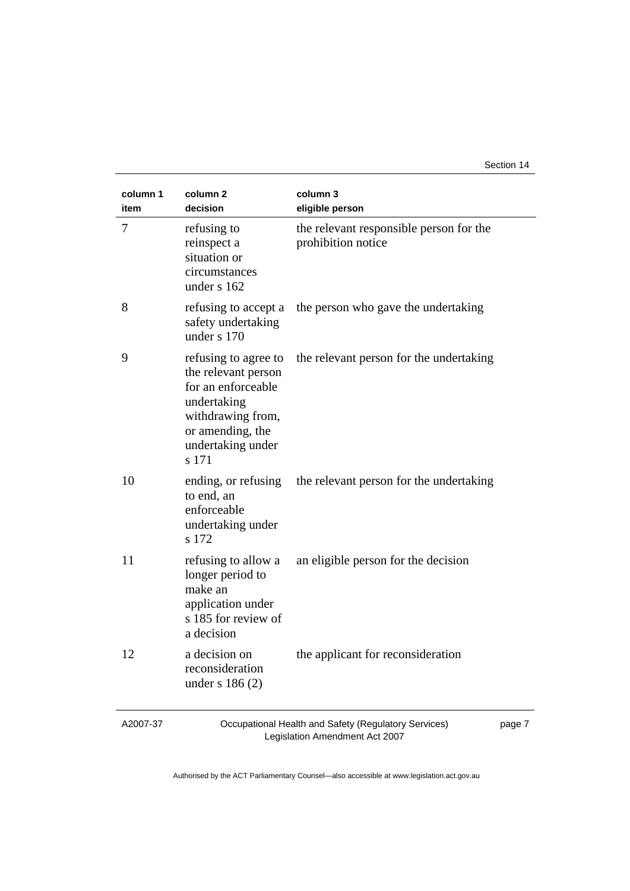#### Section 14

| column 1<br>item | column <sub>2</sub><br>decision                                                                                                                         | column 3<br>eligible person                                   |
|------------------|---------------------------------------------------------------------------------------------------------------------------------------------------------|---------------------------------------------------------------|
| $\tau$           | refusing to<br>reinspect a<br>situation or<br>circumstances<br>under s 162                                                                              | the relevant responsible person for the<br>prohibition notice |
| 8                | refusing to accept a<br>safety undertaking<br>under s 170                                                                                               | the person who gave the undertaking                           |
| 9                | refusing to agree to<br>the relevant person<br>for an enforceable<br>undertaking<br>withdrawing from,<br>or amending, the<br>undertaking under<br>s 171 | the relevant person for the undertaking                       |
| 10               | ending, or refusing<br>to end, an<br>enforceable<br>undertaking under<br>s 172                                                                          | the relevant person for the undertaking                       |
| 11               | refusing to allow a<br>longer period to<br>make an<br>application under<br>s 185 for review of<br>a decision                                            | an eligible person for the decision                           |
| 12               | a decision on<br>reconsideration<br>under $s$ 186 $(2)$                                                                                                 | the applicant for reconsideration                             |

A2007-37

Occupational Health and Safety (Regulatory Services) Legislation Amendment Act 2007

page 7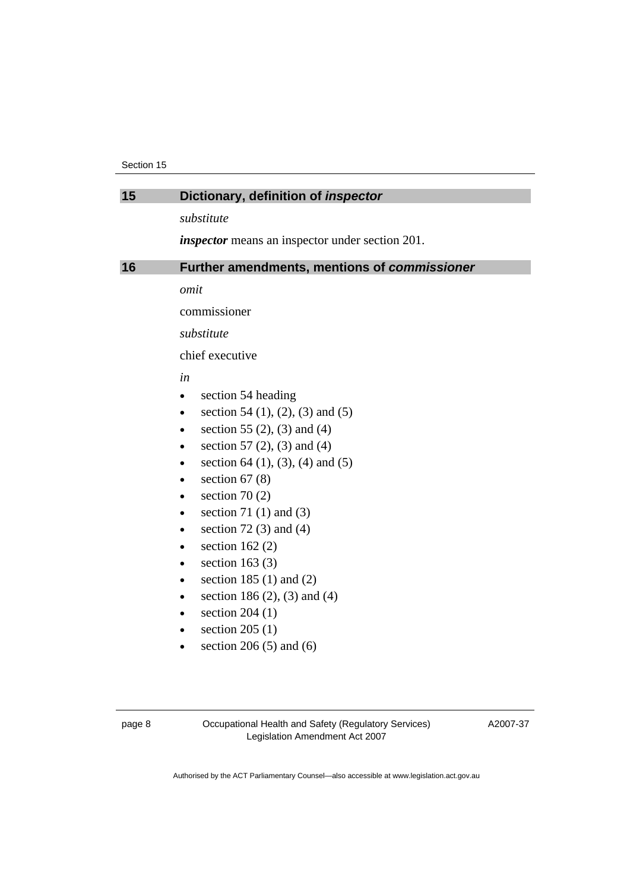<span id="page-9-0"></span>

| 15 | Dictionary, definition of <i>inspector</i>              |  |  |
|----|---------------------------------------------------------|--|--|
|    | substitute                                              |  |  |
|    | <i>inspector</i> means an inspector under section 201.  |  |  |
|    |                                                         |  |  |
| 16 | Further amendments, mentions of commissioner            |  |  |
|    | omit                                                    |  |  |
|    | commissioner                                            |  |  |
|    | substitute                                              |  |  |
|    | chief executive                                         |  |  |
|    | in                                                      |  |  |
|    | section 54 heading<br>$\bullet$                         |  |  |
|    | section 54 $(1)$ , $(2)$ , $(3)$ and $(5)$<br>$\bullet$ |  |  |
|    | section 55 $(2)$ , $(3)$ and $(4)$<br>$\bullet$         |  |  |
|    | section 57 $(2)$ , $(3)$ and $(4)$<br>$\bullet$         |  |  |
|    | section 64 $(1)$ , $(3)$ , $(4)$ and $(5)$<br>$\bullet$ |  |  |
|    | section $67(8)$<br>$\bullet$                            |  |  |
|    | section 70 $(2)$<br>$\bullet$                           |  |  |
|    | section 71 $(1)$ and $(3)$<br>$\bullet$                 |  |  |
|    | section 72 $(3)$ and $(4)$                              |  |  |
|    | section $162(2)$<br>$\bullet$                           |  |  |
|    | section 163 $(3)$<br>$\bullet$                          |  |  |
|    | section 185 $(1)$ and $(2)$<br>$\bullet$                |  |  |
|    | section 186 $(2)$ , $(3)$ and $(4)$<br>$\bullet$        |  |  |
|    | section $204(1)$<br>$\bullet$                           |  |  |
|    | section $205(1)$<br>$\bullet$                           |  |  |
|    | section $206(5)$ and $(6)$                              |  |  |
|    |                                                         |  |  |

A2007-37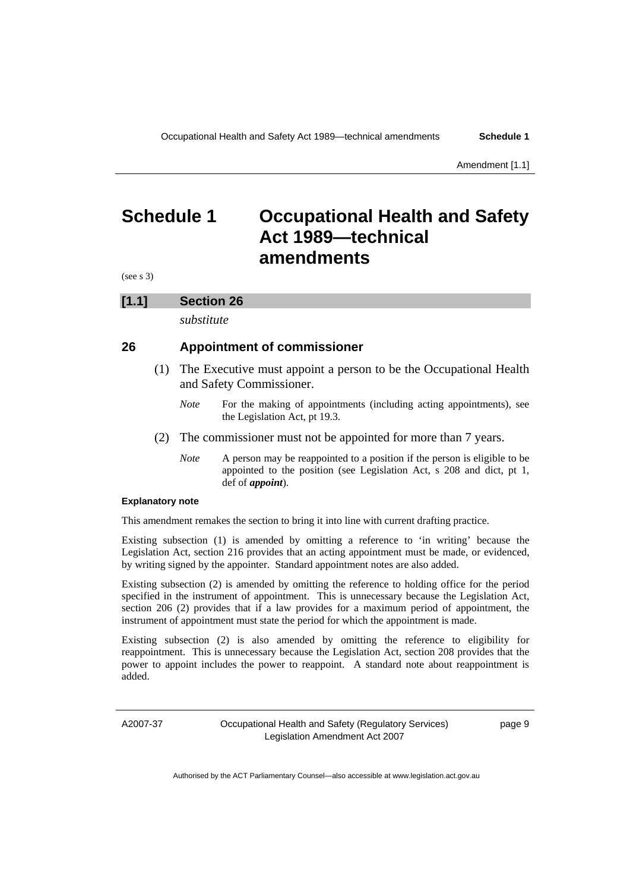# <span id="page-10-0"></span>**Schedule 1 Occupational Health and Safety Act 1989—technical amendments**

(see s 3)

#### **[1.1] Section 26**

*substitute* 

#### **26 Appointment of commissioner**

- (1) The Executive must appoint a person to be the Occupational Health and Safety Commissioner.
	- *Note* For the making of appointments (including acting appointments), see the Legislation Act, pt 19.3.
- (2) The commissioner must not be appointed for more than 7 years.
	- *Note* A person may be reappointed to a position if the person is eligible to be appointed to the position (see Legislation Act, s 208 and dict, pt 1, def of *appoint*).

#### **Explanatory note**

This amendment remakes the section to bring it into line with current drafting practice.

Existing subsection (1) is amended by omitting a reference to 'in writing' because the Legislation Act, section 216 provides that an acting appointment must be made, or evidenced, by writing signed by the appointer. Standard appointment notes are also added.

Existing subsection (2) is amended by omitting the reference to holding office for the period specified in the instrument of appointment. This is unnecessary because the Legislation Act, section 206 (2) provides that if a law provides for a maximum period of appointment, the instrument of appointment must state the period for which the appointment is made.

Existing subsection (2) is also amended by omitting the reference to eligibility for reappointment. This is unnecessary because the Legislation Act, section 208 provides that the power to appoint includes the power to reappoint. A standard note about reappointment is added.

A2007-37

Occupational Health and Safety (Regulatory Services) Legislation Amendment Act 2007

page 9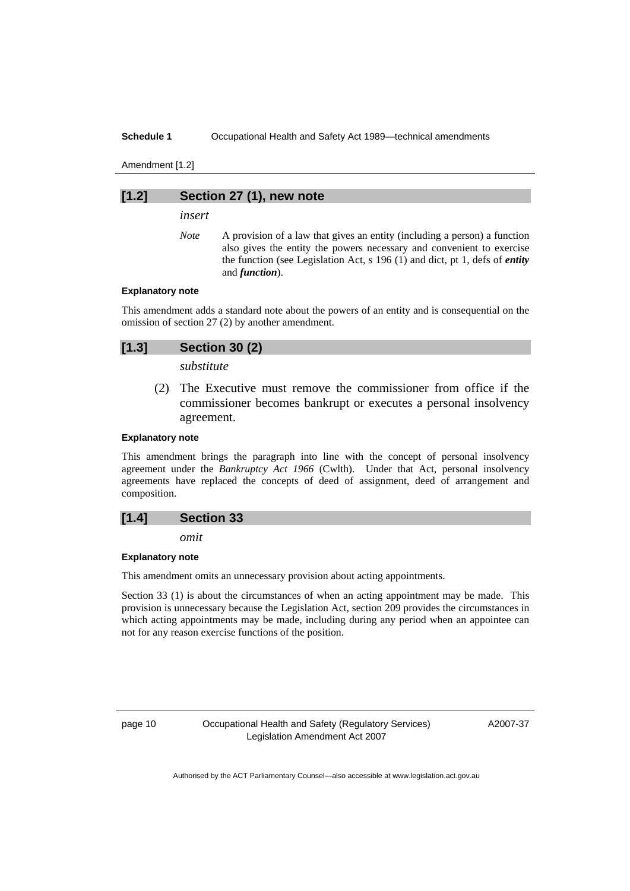#### **Schedule 1 Occupational Health and Safety Act 1989—technical amendments**

Amendment [1.2]

#### **[1.2] Section 27 (1), new note**

*insert* 

*Note* A provision of a law that gives an entity (including a person) a function also gives the entity the powers necessary and convenient to exercise the function (see Legislation Act, s 196 (1) and dict, pt 1, defs of *entity* and *function*).

#### **Explanatory note**

This amendment adds a standard note about the powers of an entity and is consequential on the omission of section 27 (2) by another amendment.

## **[1.3] Section 30 (2)**

*substitute* 

 (2) The Executive must remove the commissioner from office if the commissioner becomes bankrupt or executes a personal insolvency agreement.

#### **Explanatory note**

This amendment brings the paragraph into line with the concept of personal insolvency agreement under the *Bankruptcy Act 1966* (Cwlth). Under that Act, personal insolvency agreements have replaced the concepts of deed of assignment, deed of arrangement and composition.

#### **[1.4] Section 33**

*omit* 

#### **Explanatory note**

This amendment omits an unnecessary provision about acting appointments.

Section 33 (1) is about the circumstances of when an acting appointment may be made. This provision is unnecessary because the Legislation Act, section 209 provides the circumstances in which acting appointments may be made, including during any period when an appointee can not for any reason exercise functions of the position.

page 10 Occupational Health and Safety (Regulatory Services) Legislation Amendment Act 2007

A2007-37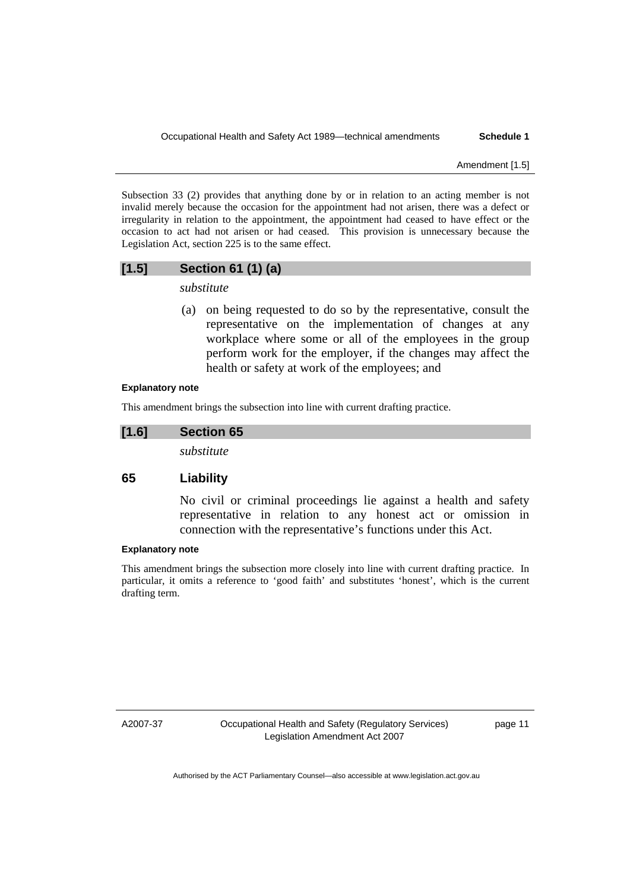Amendment [1.5]

Subsection 33 (2) provides that anything done by or in relation to an acting member is not invalid merely because the occasion for the appointment had not arisen, there was a defect or irregularity in relation to the appointment, the appointment had ceased to have effect or the occasion to act had not arisen or had ceased. This provision is unnecessary because the Legislation Act, section 225 is to the same effect.

## **[1.5] Section 61 (1) (a)**

*substitute* 

 (a) on being requested to do so by the representative, consult the representative on the implementation of changes at any workplace where some or all of the employees in the group perform work for the employer, if the changes may affect the health or safety at work of the employees; and

#### **Explanatory note**

This amendment brings the subsection into line with current drafting practice.

#### **[1.6] Section 65**

*substitute* 

#### **65 Liability**

No civil or criminal proceedings lie against a health and safety representative in relation to any honest act or omission in connection with the representative's functions under this Act.

#### **Explanatory note**

This amendment brings the subsection more closely into line with current drafting practice. In particular, it omits a reference to 'good faith' and substitutes 'honest', which is the current drafting term.

A2007-37

Occupational Health and Safety (Regulatory Services) Legislation Amendment Act 2007

page 11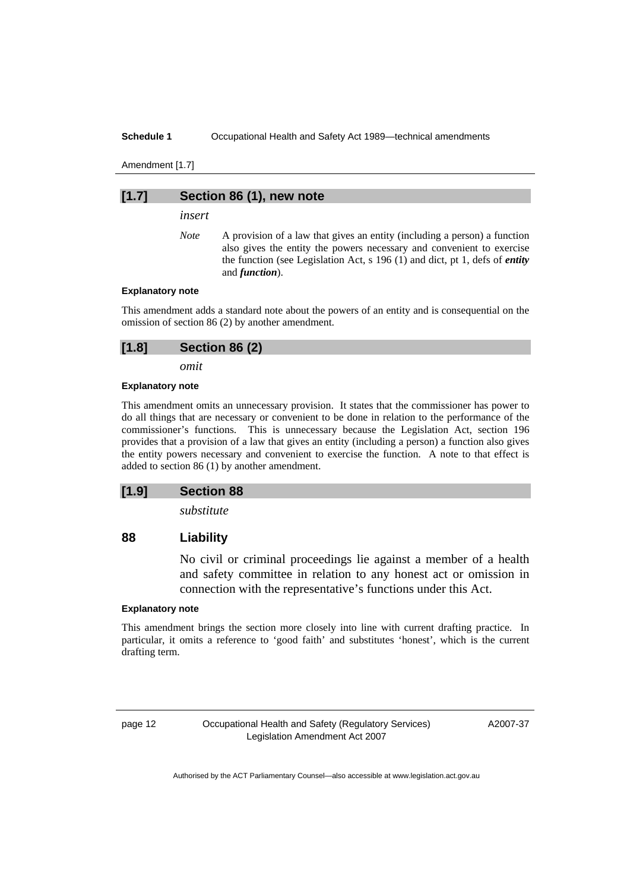#### **Schedule 1 Occupational Health and Safety Act 1989—technical amendments**

Amendment [1.7]

#### **[1.7] Section 86 (1), new note**

*insert* 

*Note* A provision of a law that gives an entity (including a person) a function also gives the entity the powers necessary and convenient to exercise the function (see Legislation Act, s 196 (1) and dict, pt 1, defs of *entity* and *function*).

#### **Explanatory note**

This amendment adds a standard note about the powers of an entity and is consequential on the omission of section 86 (2) by another amendment.

*omit* 

#### **Explanatory note**

This amendment omits an unnecessary provision. It states that the commissioner has power to do all things that are necessary or convenient to be done in relation to the performance of the commissioner's functions. This is unnecessary because the Legislation Act, section 196 provides that a provision of a law that gives an entity (including a person) a function also gives the entity powers necessary and convenient to exercise the function. A note to that effect is added to section 86 (1) by another amendment.

#### **[1.9] Section 88**

*substitute* 

## **88 Liability**

No civil or criminal proceedings lie against a member of a health and safety committee in relation to any honest act or omission in connection with the representative's functions under this Act.

#### **Explanatory note**

This amendment brings the section more closely into line with current drafting practice. In particular, it omits a reference to 'good faith' and substitutes 'honest', which is the current drafting term.

page 12 Occupational Health and Safety (Regulatory Services) Legislation Amendment Act 2007

A2007-37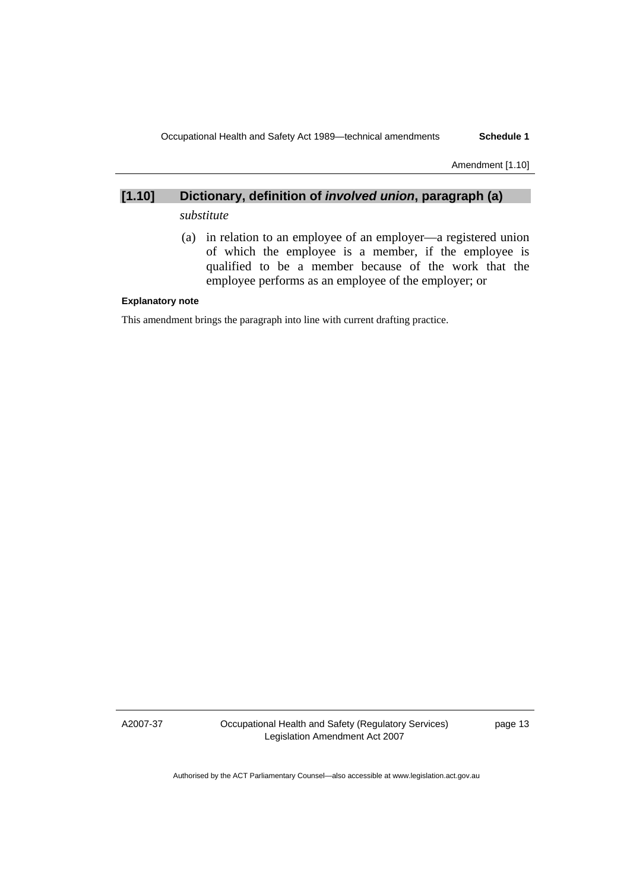Amendment [1.10]

# **[1.10] Dictionary, definition of** *involved union***, paragraph (a)**

# *substitute*

 (a) in relation to an employee of an employer—a registered union of which the employee is a member, if the employee is qualified to be a member because of the work that the employee performs as an employee of the employer; or

#### **Explanatory note**

This amendment brings the paragraph into line with current drafting practice.

A2007-37

Occupational Health and Safety (Regulatory Services) Legislation Amendment Act 2007

page 13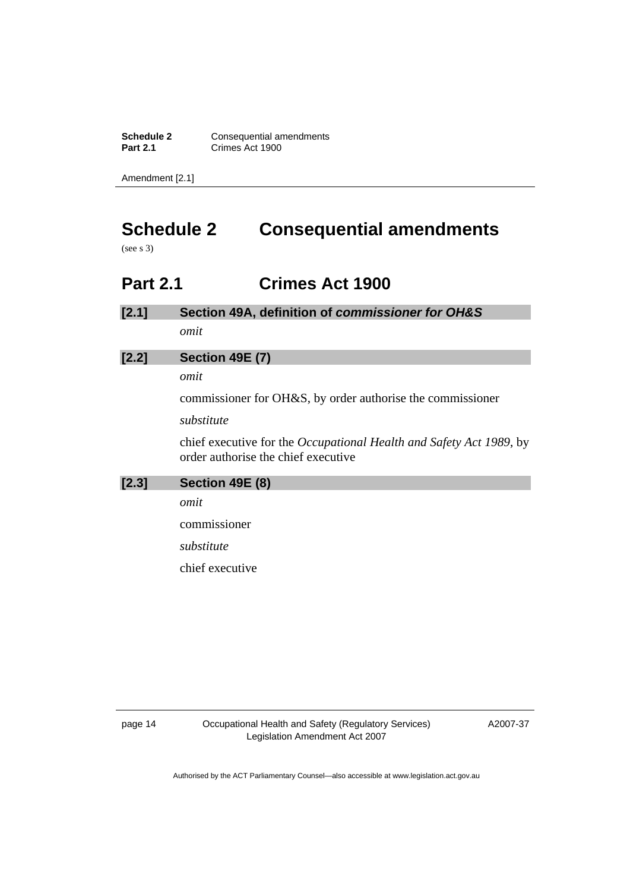<span id="page-15-0"></span>**Schedule 2 Consequential amendments**<br>**Part 2.1 Crimes Act 1900 Part 2.1** Crimes Act 1900

Amendment [2.1]

# **Schedule 2 Consequential amendments**

(see s 3)

# **Part 2.1 Crimes Act 1900**

| $[2.1]$ | Section 49A, definition of commissioner for OH&S |  |  |  |
|---------|--------------------------------------------------|--|--|--|
|         |                                                  |  |  |  |

*omit* 

# **[2.2] Section 49E (7)**

*omit* 

commissioner for OH&S, by order authorise the commissioner

#### *substitute*

chief executive for the *Occupational Health and Safety Act 1989*, by order authorise the chief executive

| [2.3] | Section 49E (8) |
|-------|-----------------|
|       | omit            |
|       | commissioner    |
|       | substitute      |
|       |                 |

chief executive

page 14 Occupational Health and Safety (Regulatory Services) Legislation Amendment Act 2007

A2007-37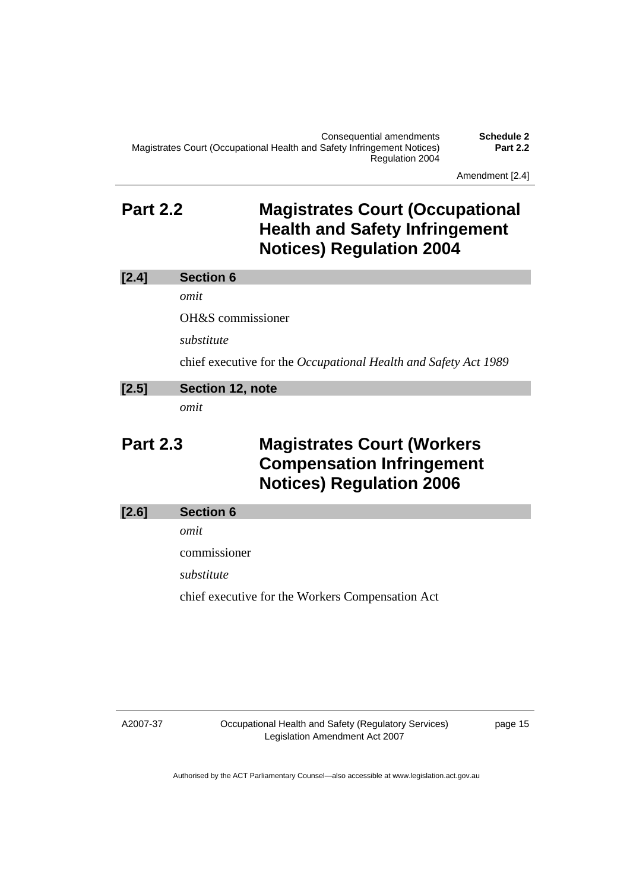Amendment [2.4]

# <span id="page-16-0"></span>**Part 2.2 Magistrates Court (Occupational Health and Safety Infringement Notices) Regulation 2004**

| [2.4]           | <b>Section 6</b>  |                                                                                                          |
|-----------------|-------------------|----------------------------------------------------------------------------------------------------------|
|                 | omit              |                                                                                                          |
|                 | OH&S commissioner |                                                                                                          |
|                 | substitute        |                                                                                                          |
|                 |                   | chief executive for the Occupational Health and Safety Act 1989                                          |
| [2.5]           | Section 12, note  |                                                                                                          |
|                 | omit              |                                                                                                          |
| <b>Part 2.3</b> |                   | <b>Magistrates Court (Workers</b><br><b>Compensation Infringement</b><br><b>Notices) Regulation 2006</b> |
| [2.6]           | <b>Section 6</b>  |                                                                                                          |
|                 | omit              |                                                                                                          |
|                 | commissioner      |                                                                                                          |
|                 | substitute        |                                                                                                          |

chief executive for the Workers Compensation Act

A2007-37

Occupational Health and Safety (Regulatory Services) Legislation Amendment Act 2007

page 15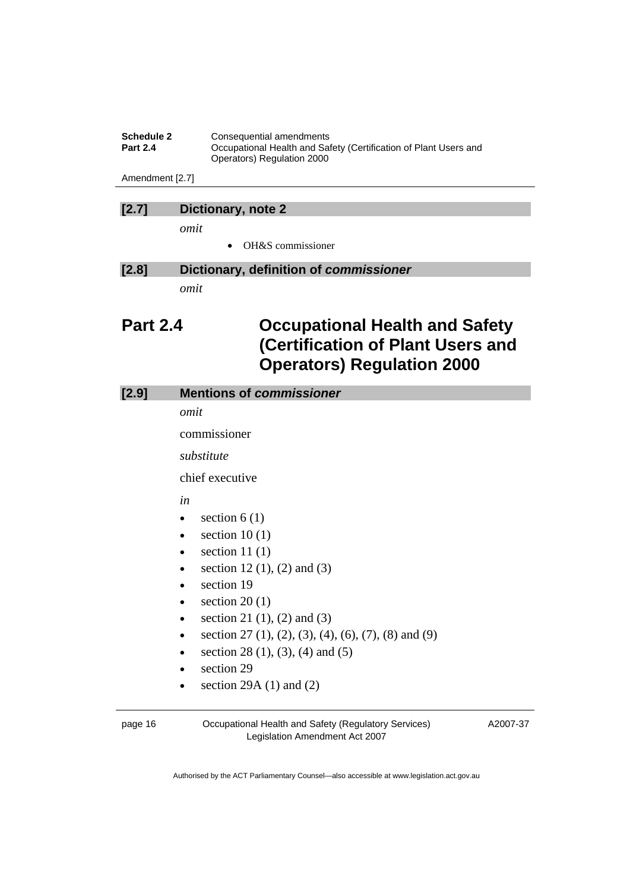<span id="page-17-0"></span>

| <b>Schedule 2</b> | Consequential amendments                                         |
|-------------------|------------------------------------------------------------------|
| <b>Part 2.4</b>   | Occupational Health and Safety (Certification of Plant Users and |
|                   | Operators) Regulation 2000                                       |

Amendment [2.7]

# **[2.7] Dictionary, note 2**

*omit* 

• OH&S commissioner

# **[2.8] Dictionary, definition of** *commissioner*

*omit* 

# **Part 2.4 Occupational Health and Safety (Certification of Plant Users and Operators) Regulation 2000**

| [2.9] | <b>Mentions of commissioner</b>                                   |  |  |
|-------|-------------------------------------------------------------------|--|--|
|       | omit                                                              |  |  |
|       | commissioner                                                      |  |  |
|       | substitute                                                        |  |  |
|       | chief executive                                                   |  |  |
|       | in                                                                |  |  |
|       | section $6(1)$<br>$\bullet$                                       |  |  |
|       | section $10(1)$<br>$\bullet$                                      |  |  |
|       | section 11 $(1)$<br>$\bullet$                                     |  |  |
|       | section 12 $(1)$ , $(2)$ and $(3)$<br>٠                           |  |  |
|       | section 19<br>$\bullet$                                           |  |  |
|       | section $20(1)$<br>$\bullet$                                      |  |  |
|       | section 21 $(1)$ , $(2)$ and $(3)$<br>$\bullet$                   |  |  |
|       | section 27 (1), (2), (3), (4), (6), (7), (8) and (9)<br>$\bullet$ |  |  |
|       | section 28 $(1)$ , $(3)$ , $(4)$ and $(5)$                        |  |  |
|       | section 29                                                        |  |  |
|       | section 29A $(1)$ and $(2)$<br>$\bullet$                          |  |  |
|       |                                                                   |  |  |

page 16 Occupational Health and Safety (Regulatory Services) Legislation Amendment Act 2007

A2007-37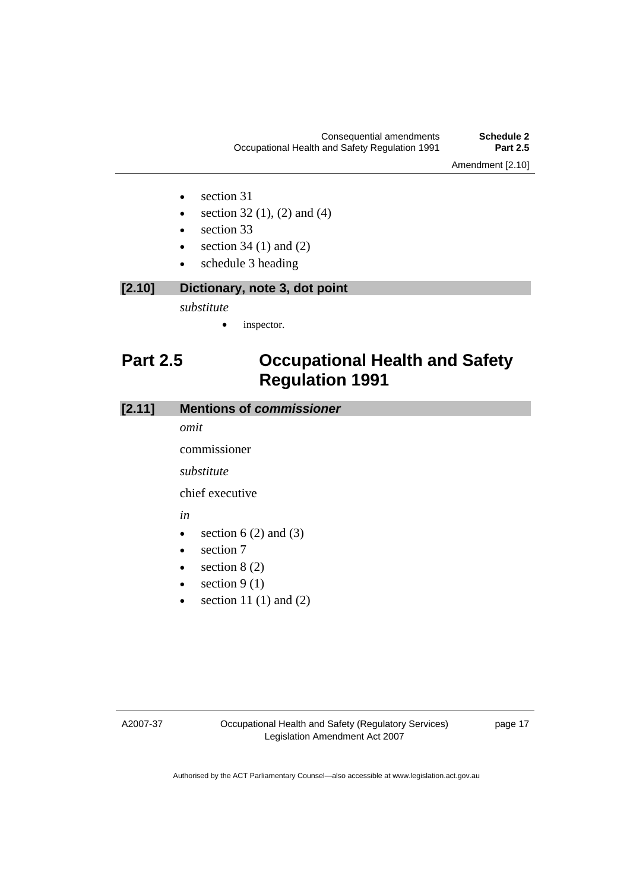- <span id="page-18-0"></span>• section 31
- section 32 (1), (2) and (4)
- section 33
- section 34 $(1)$  and  $(2)$
- schedule 3 heading

# **[2.10] Dictionary, note 3, dot point**

*substitute* 

inspector.

# **Part 2.5 Occupational Health and Safety Regulation 1991**

## **[2.11] Mentions of** *commissioner*

*omit* 

commissioner

*substitute* 

chief executive

# *in*

- section  $6(2)$  and  $(3)$
- section 7
- section  $8(2)$
- section  $9(1)$
- section 11 $(1)$  and  $(2)$

A2007-37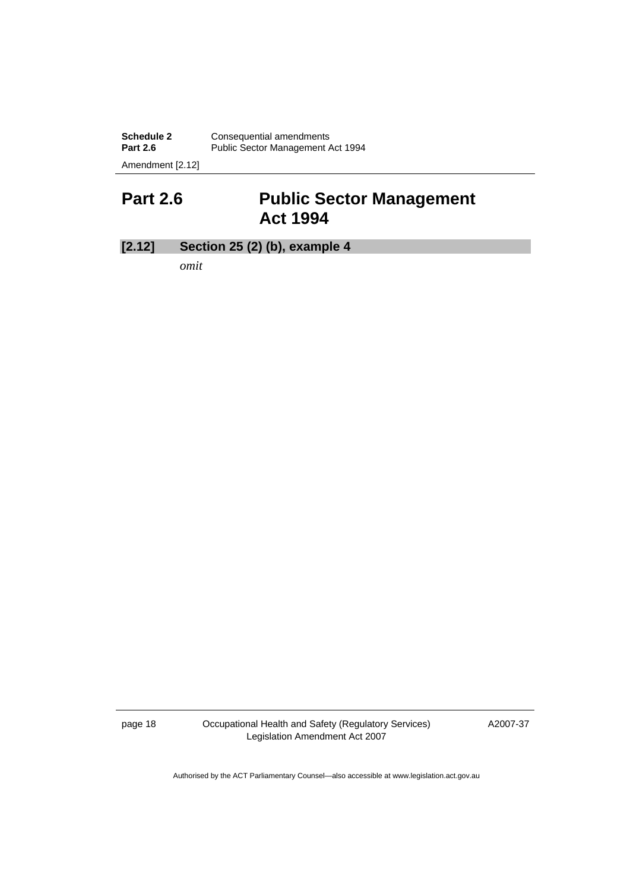<span id="page-19-0"></span>**Schedule 2 Consequential amendments** Part 2.6 **Public Sector Management Act 1994** Amendment [2.12]

**Part 2.6 Public Sector Management Act 1994** 

# **[2.12] Section 25 (2) (b), example 4**

*omit* 

page 18 Occupational Health and Safety (Regulatory Services) Legislation Amendment Act 2007

A2007-37